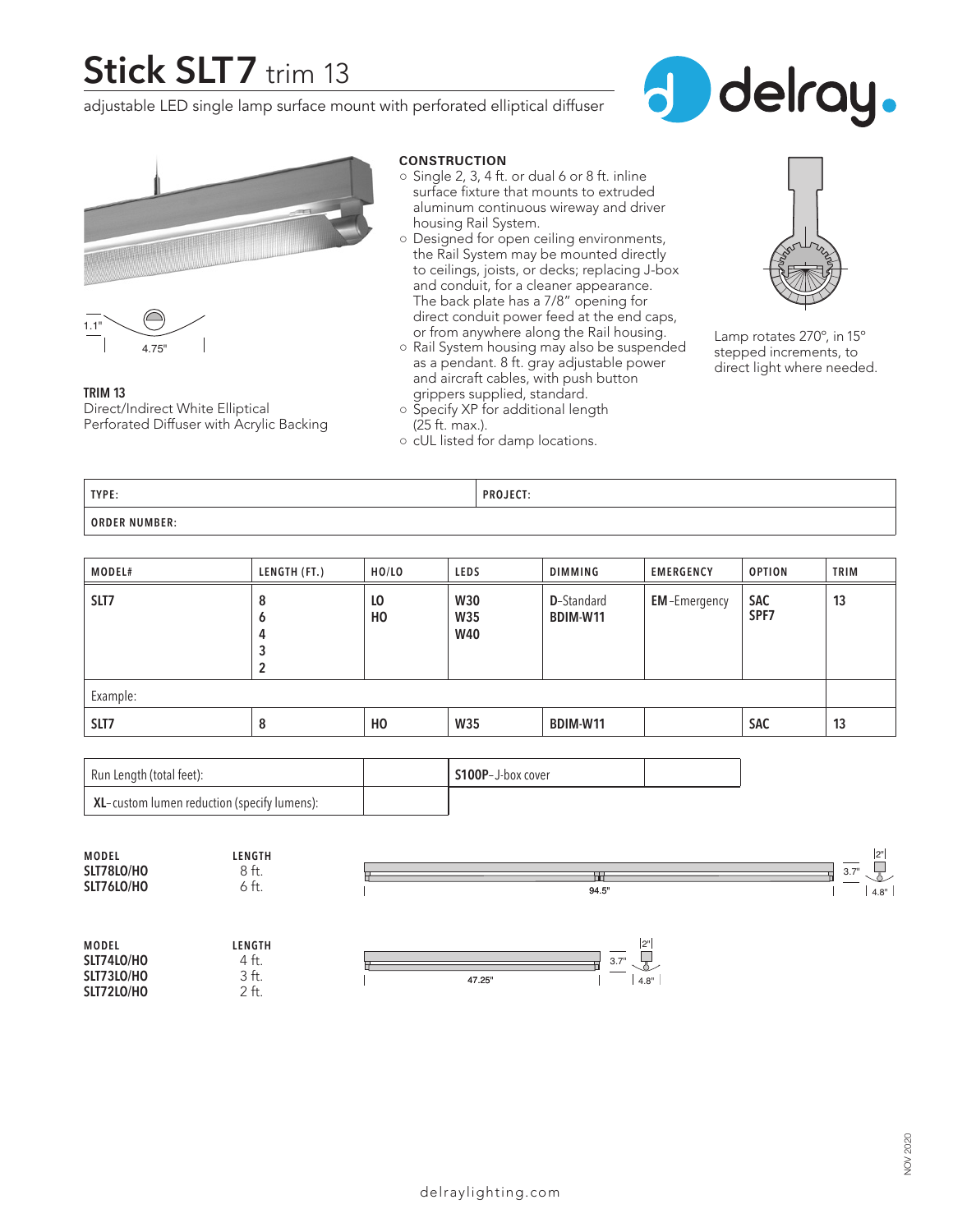# **Stick SLT7** trim 13

adjustable LED single lamp surface mount with perforated elliptical diffuser







**TRIM 13** Direct/Indirect White Elliptical Perforated Diffuser with Acrylic Backing

#### **CONSTRUCTION**

- $\circ$  Single 2, 3, 4 ft. or dual 6 or 8 ft. inline surface fixture that mounts to extruded aluminum continuous wireway and driver housing Rail System.
- Designed for open ceiling environments, the Rail System may be mounted directly to ceilings, joists, or decks; replacing J-box and conduit, for a cleaner appearance. The back plate has a 7/8" opening for direct conduit power feed at the end caps, or from anywhere along the Rail housing.
- Rail System housing may also be suspended as a pendant. 8 ft. gray adjustable power and aircraft cables, with push button grippers supplied, standard.



Lamp rotates 270º, in 15º stepped increments, to direct light where needed.

**TYPE: PROJECT: ORDER NUMBER:**

(25 ft. max.).

○ Specify XP for additional length

○ cUL listed for damp locations.

| <b>MODEL#</b> | LENGTH (FT.)          | HO/LO                | LEDS                            | DIMMING                        | <b>EMERGENCY</b>    | <b>OPTION</b>      | <b>TRIM</b> |
|---------------|-----------------------|----------------------|---------------------------------|--------------------------------|---------------------|--------------------|-------------|
| SLT7          | 8<br>O<br>4<br>3<br>2 | LO<br>H <sub>0</sub> | <b>W30</b><br>W35<br><b>W40</b> | <b>D</b> -Standard<br>BDIM-W11 | <b>EM-Emergency</b> | <b>SAC</b><br>SPF7 | 13          |
| Example:      |                       |                      |                                 |                                |                     |                    |             |
| SLT7          | 8                     | H <sub>0</sub>       | <b>W35</b>                      | BDIM-W11                       |                     | <b>SAC</b>         | 13          |

| Run Length (total feet):                    | S100P-J-box cover |  |
|---------------------------------------------|-------------------|--|
| XL-custom lumen reduction (specify lumens): |                   |  |